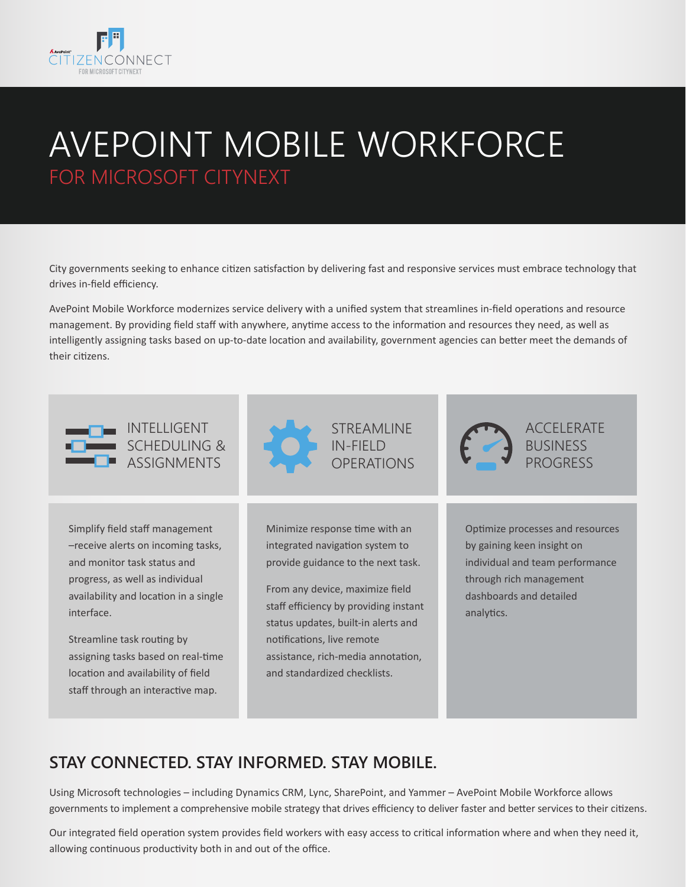

progress, as well as individual availability and location in a single

Streamline task routing by

assigning tasks based on real-time location and availability of field staff through an interactive map.

interface.

# AVEPOINT MOBILE WORKFORCE FOR MICROSOFT CITYNEXT

City governments seeking to enhance citizen satisfaction by delivering fast and responsive services must embrace technology that drives in-field efficiency.

AvePoint Mobile Workforce modernizes service delivery with a unified system that streamlines in-field operations and resource management. By providing field staff with anywhere, anytime access to the information and resources they need, as well as intelligently assigning tasks based on up-to-date location and availability, government agencies can better meet the demands of their citizens.



From any device, maximize field staff efficiency by providing instant status updates, built-in alerts and notifications, live remote assistance, rich-media annotation, and standardized checklists.

through rich management dashboards and detailed analytics.

## **STAY CONNECTED. STAY INFORMED. STAY MOBILE.**

Using Microsoft technologies – including Dynamics CRM, Lync, SharePoint, and Yammer – AvePoint Mobile Workforce allows governments to implement a comprehensive mobile strategy that drives efficiency to deliver faster and better services to their citizens.

Our integrated field operation system provides field workers with easy access to critical information where and when they need it, allowing continuous productivity both in and out of the office.